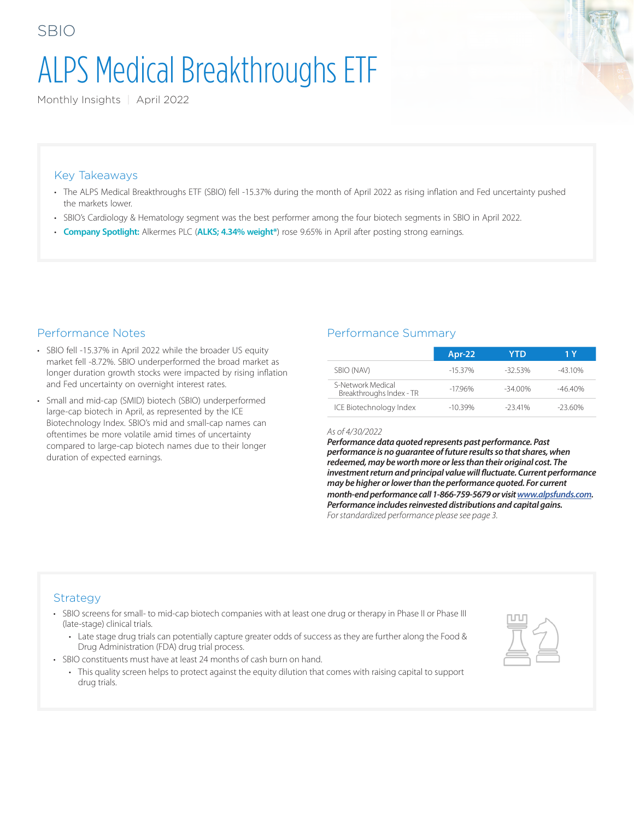# ALPS Medical Breakthroughs ETF

Monthly Insights | April 2022

#### Key Takeaways

SBIO

- The ALPS Medical Breakthroughs ETF (SBIO) fell -15.37% during the month of April 2022 as rising inflation and Fed uncertainty pushed the markets lower.
- SBIO's Cardiology & Hematology segment was the best performer among the four biotech segments in SBIO in April 2022.
- **Company Spotlight:** Alkermes PLC (**ALKS; 4.34% weight\***) rose 9.65% in April after posting strong earnings.

#### Performance Notes

- SBIO fell -15.37% in April 2022 while the broader US equity market fell -8.72%. SBIO underperformed the broad market as longer duration growth stocks were impacted by rising inflation and Fed uncertainty on overnight interest rates.
- Small and mid-cap (SMID) biotech (SBIO) underperformed large-cap biotech in April, as represented by the ICE Biotechnology Index. SBIO's mid and small-cap names can oftentimes be more volatile amid times of uncertainty compared to large-cap biotech names due to their longer duration of expected earnings.

#### Performance Summary

|                                               | Apr-22    | YTD       | 1 Y      |
|-----------------------------------------------|-----------|-----------|----------|
| SBIO (NAV)                                    | $-15.37%$ | $-3253%$  | $-4310%$ |
| S-Network Medical<br>Breakthroughs Index - TR | $-1796%$  | $-3400\%$ | $-4640%$ |
| ICE Biotechnology Index                       | $-10.39%$ | $-23.41%$ | $-2360%$ |

#### *As of 4/30/2022*

*Performance data quoted represents past performance. Past performance is no guarantee of future results so that shares, when redeemed, may be worth more or less than their original cost. The investment return and principal value will fluctuate. Current performance may be higher or lower than the performance quoted. For current month-end performance call 1-866-759-5679 or visit [www.alpsfunds.com](http://www.alpsfunds.com). Performance includes reinvested distributions and capital gains. For standardized performance please see page 3.*

#### Strategy

- SBIO screens for small- to mid-cap biotech companies with at least one drug or therapy in Phase II or Phase III (late-stage) clinical trials.
	- Late stage drug trials can potentially capture greater odds of success as they are further along the Food & Drug Administration (FDA) drug trial process.
- SBIO constituents must have at least 24 months of cash burn on hand.
	- This quality screen helps to protect against the equity dilution that comes with raising capital to support drug trials.

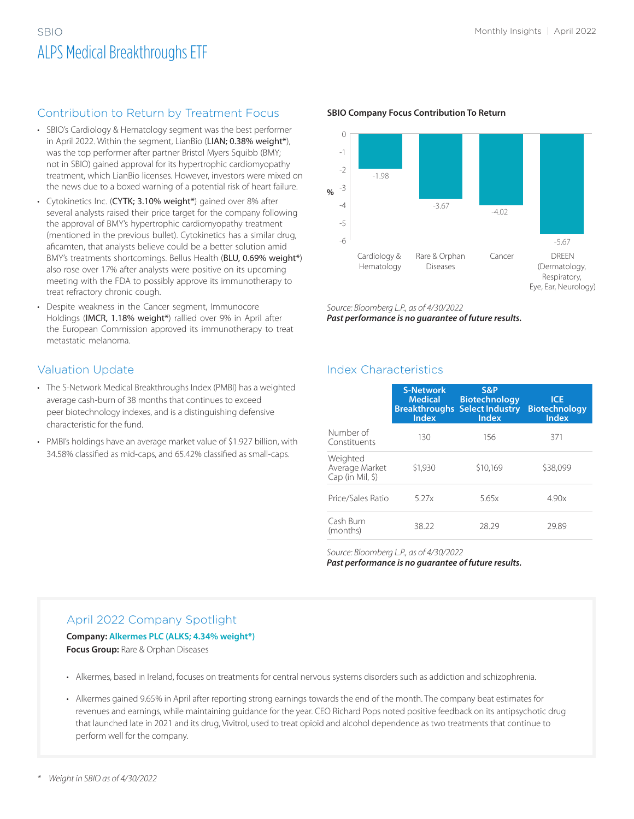## SBIO Monthly Insights | April 2022 ALPS Medical Breakthroughs ETF

## Contribution to Return by Treatment Focus

- SBIO's Cardiology & Hematology segment was the best performer in April 2022. Within the segment, LianBio (LIAN; 0.38% weight\*), was the top performer after partner Bristol Myers Squibb (BMY; not in SBIO) gained approval for its hypertrophic cardiomyopathy treatment, which LianBio licenses. However, investors were mixed on the news due to a boxed warning of a potential risk of heart failure.
- Cytokinetics Inc. (CYTK; 3.10% weight\*) gained over 8% after several analysts raised their price target for the company following the approval of BMY's hypertrophic cardiomyopathy treatment (mentioned in the previous bullet). Cytokinetics has a similar drug, aficamten, that analysts believe could be a better solution amid BMY's treatments shortcomings. Bellus Health (BLU, 0.69% weight\*) also rose over 17% after analysts were positive on its upcoming meeting with the FDA to possibly approve its immunotherapy to treat refractory chronic cough.
- Despite weakness in the Cancer segment, Immunocore Holdings (IMCR, 1.18% weight\*) rallied over 9% in April after the European Commission approved its immunotherapy to treat metastatic melanoma.

## Valuation Update

- The S-Network Medical Breakthroughs Index (PMBI) has a weighted average cash-burn of 38 months that continues to exceed peer biotechnology indexes, and is a distinguishing defensive characteristic for the fund.
- PMBI's holdings have an average market value of \$1.927 billion, with 34.58% classified as mid-caps, and 65.42% classified as small-caps.



#### **SBIO Company Focus Contribution To Return**

*Source: Bloomberg L.P., as of 4/30/2022*

*Past performance is no guarantee of future results.*

## Index Characteristics

|                                                 | <b>S-Network</b><br><b>Medical</b><br><b>Index</b> | S&P<br><b>Biotechnology</b><br><b>Breakthroughs Select Industry</b><br><b>Index</b> | <b>ICE</b><br><b>Biotechnology</b><br><b>Index</b> |
|-------------------------------------------------|----------------------------------------------------|-------------------------------------------------------------------------------------|----------------------------------------------------|
| Number of<br>Constituents                       | 130                                                | 156                                                                                 | 371                                                |
| Weighted<br>Average Market<br>$Cap (in Mil, \)$ | \$1,930                                            | \$10,169                                                                            | \$38,099                                           |
| Price/Sales Ratio                               | 5.27x                                              | 5.65x                                                                               | 4.90x                                              |
| Cash Burn<br>(months)                           | 38.22                                              | 28.29                                                                               | 29.89                                              |

*Source: Bloomberg L.P., as of 4/30/2022 Past performance is no guarantee of future results.*

## April 2022 Company Spotlight

#### **Company: Alkermes PLC (ALKS; 4.34% weight\*) Focus Group:** Rare & Orphan Diseases

- Alkermes, based in Ireland, focuses on treatments for central nervous systems disorders such as addiction and schizophrenia.
- Alkermes gained 9.65% in April after reporting strong earnings towards the end of the month. The company beat estimates for revenues and earnings, while maintaining guidance for the year. CEO Richard Pops noted positive feedback on its antipsychotic drug that launched late in 2021 and its drug, Vivitrol, used to treat opioid and alcohol dependence as two treatments that continue to perform well for the company.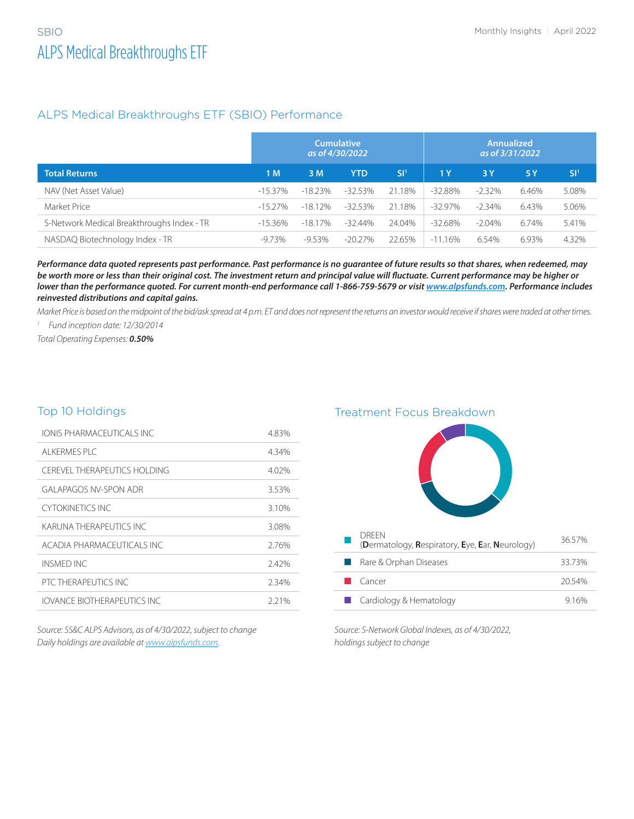#### ALPS Medical Breakthroughs ETF (SBIO) Performance

|                                            | <b>Cumulative</b><br>as of 4/30/2022 |            |            | <b>Annualized</b><br>as of 3/31/2022 |                |          |       |                 |
|--------------------------------------------|--------------------------------------|------------|------------|--------------------------------------|----------------|----------|-------|-----------------|
| <b>Total Returns</b>                       | 1 M                                  | 3 M        | <b>YTD</b> | SI <sup>1</sup>                      | 1 <sub>Y</sub> | 3 Y      | 5Y    | SI <sup>1</sup> |
| NAV (Net Asset Value)                      | $-15.37\%$                           | $-18.23%$  | $-32.53%$  | 21.18%                               | $-32.88%$      | $-2.32%$ | 6.46% | 5.08%           |
| Market Price                               | $-15.27\%$                           | $-18.12%$  | $-32.53%$  | 21.18%                               | $-32.97\%$     | $-2.34%$ | 6.43% | 5.06%           |
| S-Network Medical Breakthroughs Index - TR | $-15.36\%$                           | $-18.17\%$ | $-32.44%$  | 24.04%                               | $-32.68\%$     | $-2.04%$ | 6.74% | 5.41%           |
| NASDAQ Biotechnology Index - TR            | -9.73%                               | -9.53%     | $-20.27\%$ | 22.65%                               | $-11.16%$      | 6.54%    | 6.93% | 4.32%           |

*Performance data quoted represents past performance. Past performance is no guarantee of future results so that shares, when redeemed, may be worth more or less than their original cost. The investment return and principal value will fluctuate. Current performance may be higher or lower than the performance quoted. For current month-end performance call 1-866-759-5679 or visit [www.alpsfunds.com](http://www.alpsfunds.com). Performance includes reinvested distributions and capital gains.*

*Market Price is based on the midpoint of the bid/ask spread at 4 p.m. ET and does not represent the returns an investor would receive if shares were traded at other times.*

*1 Fund inception date: 12/30/2014*

*Total Operating Expenses: 0.50%*

#### Top 10 Holdings

| <b>IONIS PHARMACEUTICALS INC.</b> | 4.83% |
|-----------------------------------|-------|
| AI KERMES PLC                     | 4.34% |
| CEREVEL THERAPEUTICS HOLDING      | 4.02% |
| GAI APAGOS NV-SPON ADR            | 3.53% |
| CYTOKINFTICS INC                  | 3.10% |
| KARI INA THERAPELITICS INC        | 3.08% |
| ACADIA PHARMACEUTICALS INC        | 276%  |
| INSMED INC                        | 2.42% |
| PTC THERAPEUTICS INC.             | 2.34% |
| IOVANCE BIOTHERAPELITICS INC      | 2.21% |

*Source: SS&C ALPS Advisors, as of 4/30/2022, subject to change Daily holdings are available at [www.alpsfunds.com.](http://www.alpsfunds.com)*

Treatment Focus Breakdown



*Source: S-Network Global Indexes, as of 4/30/2022, holdings subject to change*